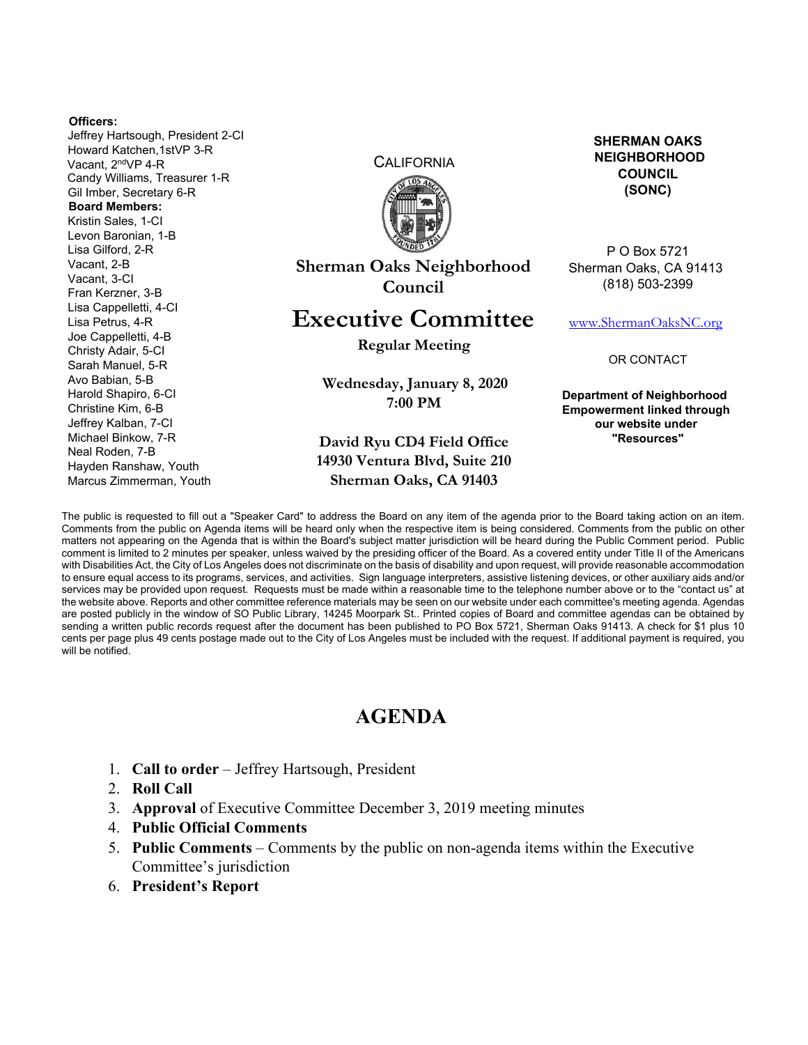#### **Officers:**

Jeffrey Hartsough, President 2-CI Howard Katchen,1stVP 3-R Vacant, 2ndVP 4-R Candy Williams, Treasurer 1-R Gil Imber, Secretary 6-R **Board Members:**  Kristin Sales, 1-CI Levon Baronian, 1-B Lisa Gilford, 2-R Vacant, 2-B Vacant, 3-CI Fran Kerzner, 3-B Lisa Cappelletti, 4-CI Lisa Petrus, 4-R Joe Cappelletti, 4-B Christy Adair, 5-CI Sarah Manuel, 5-R Avo Babian, 5-B Harold Shapiro, 6-CI Christine Kim, 6-B Jeffrey Kalban, 7-CI Michael Binkow, 7-R Neal Roden, 7-B Hayden Ranshaw, Youth Marcus Zimmerman, Youth

**CALIFORNIA** 



**Sherman Oaks Neighborhood Council** 

# **Executive Committee**

**Regular Meeting** 

**Wednesday, January 8, 2020 7:00 PM** 

### **David Ryu CD4 Field Office 14930 Ventura Blvd, Suite 210 Sherman Oaks, CA 91403**

**SHERMAN OAKS NEIGHBORHOOD COUNCIL (SONC)** 

P O Box 5721 Sherman Oaks, CA 91413 (818) 503-2399

www.ShermanOaksNC.org

OR CONTACT

**Department of Neighborhood Empowerment linked through our website under "Resources"** 

The public is requested to fill out a "Speaker Card" to address the Board on any item of the agenda prior to the Board taking action on an item. Comments from the public on Agenda items will be heard only when the respective item is being considered. Comments from the public on other matters not appearing on the Agenda that is within the Board's subject matter jurisdiction will be heard during the Public Comment period. Public comment is limited to 2 minutes per speaker, unless waived by the presiding officer of the Board. As a covered entity under Title II of the Americans with Disabilities Act, the City of Los Angeles does not discriminate on the basis of disability and upon request, will provide reasonable accommodation to ensure equal access to its programs, services, and activities. Sign language interpreters, assistive listening devices, or other auxiliary aids and/or services may be provided upon request. Requests must be made within a reasonable time to the telephone number above or to the "contact us" at the website above. Reports and other committee reference materials may be seen on our website under each committee's meeting agenda. Agendas are posted publicly in the window of SO Public Library, 14245 Moorpark St.. Printed copies of Board and committee agendas can be obtained by sending a written public records request after the document has been published to PO Box 5721, Sherman Oaks 91413. A check for \$1 plus 10 cents per page plus 49 cents postage made out to the City of Los Angeles must be included with the request. If additional payment is required, you will be notified.

## **AGENDA**

- 1. **Call to order** Jeffrey Hartsough, President
- 2. **Roll Call**
- 3. **Approval** of Executive Committee December 3, 2019 meeting minutes
- 4. **Public Official Comments**
- 5. **Public Comments** Comments by the public on non-agenda items within the Executive Committee's jurisdiction
- 6. **President's Report**